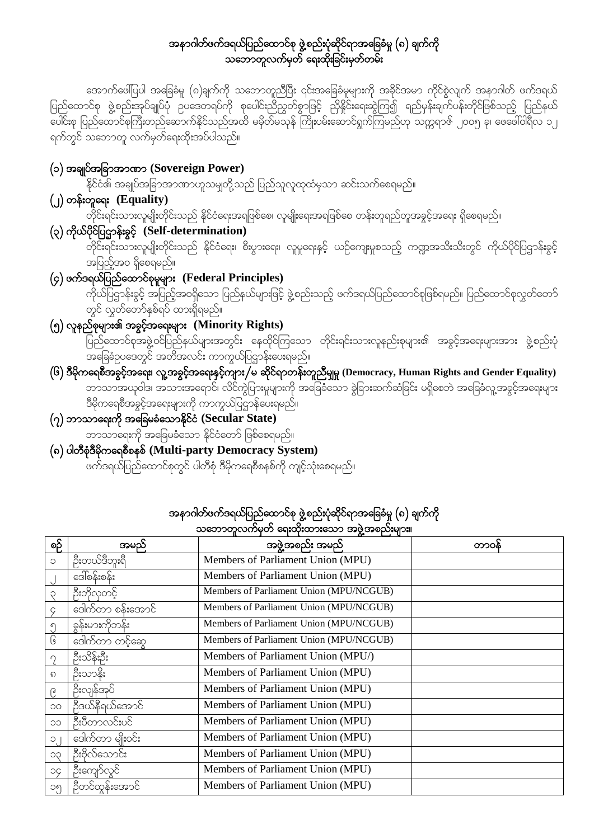### အနာဂါတ်ဖက်ဒရယ်ပြည်ထောင်စု ဖွဲ့စည်းပုံဆိုင်ရာအခြေခံမှု (၈) ချက်ကို သဘောတူလက်မှတ် ရေးထိုးခြင်းမှတ်တမ်း

အောက်ဖေါ်ပြပါ အခြေခံမူ (၈)ချက်ကို သဘောတူညီပြီး ၎င်းအခြေခံမူများကို အခိုင်အမာ ကိုင်စွဲလျက် အနာဂါတ် ဖက်ဒရယ် ရက်တွင် သဘောတူ လက်မှတ်ရေးထိုးအပ်ပါသည်။

### (၁) အချုပ်အခြာအာဏာ (Sovereign Power)

ι<br>နိုင်ငံ၏ အချုပ်အခြာအာဏာဟူသမျှတို့သည် ပြည်သူလူထုထံမှသာ ဆင်းသက်စေရမည်။

 $(y)$  တန်းတူရေး  $(\tilde{Equality})$ 

ျား<br>တိုင်းရင်းသားလူမျိုးတိုင်းသည် နိုင်ငံရေးအရဖြစ်စေ၊ လူမျိုးရေးအရဖြစ်စေ တန်းတူရည်တူအခွင့်အရေး ရှိစေရမည်။

(၃) ကိုယ်ပိုင်ပြဌာန်းခွင့် (Self-determination)

်<br>တိုင်းရင်းသားလူမျိုးတိုင်းသည် နိုင်ငံရေး၊ စီးပွားရေး၊ လူမှုရေးနှင့် ယဉ်ကျေးမှုစသည့် ကဏ္ဍအသီးသီးတွင် ကိုယ်ပိုင်ပြဌာန်းခွင့် -<br>အပြည့်အဝ ရှိစေရမည်။

## $\overline{(\varsigma)}$  ဖက်ဒရယ်ပြည်ထောင်စုမူများ (Federal Principles)

ား<br>ကိုယ်ပြဌာန်းခွင့် အပြည့်အဝရှိသော ပြည်နယ်များဖြင့် ဖွဲ့စည်းသည့် ဖက်ဒရယ်ပြည်ထောင်စုဖြစ်ရမည်။ ပြည်ထောင်စုလွှတ်တော် တွင် လွှတ်တော်နှစ်ရပ် ထားရှိရမည်။

(၅) လူနည်စုများ၏ အခွင့်အရေးများ (Minority Rights)

ာကာ<br>အခြေခံဥပဒေတွင် အတိအလင်း ကာကွယ်ပြဌာန်းပေးရမည်။

 $($ ၆ $)$  ဒီမိုကရေစီအခွင့်အရေး၊ လူ့အခွင့်အရေးနှင့်ကျား $\vec{/}$ မ ဆိုင်ရာတန်းတူညီမျှမှု (Democracy, Human Rights and Gender Equality) ာ<br>ဘာသာအယူဝါဒ၊ အသားအရောင်၊ လိင်ကွဲပြားမှုများကို အခြေခံသော ခွဲခြားဆက်ဆံခြင်း မရှိစေဘဲ အခြေခံလူ့အခွင့်အရေးများ ႜ<br>ဒီမိုကရေစီအခွင့်အရေးများကို ကာကွယ်ပြဌာန်ပေးရမည်။

## $\left( \gamma \right)$  ဘာသာရေးကို အခြေမခံသောနိုင်ငံ (Secular State)

-<br>ဘာသာရေးကို အခြေမခံသော နိုင်ငံတော် ဖြစ်စေရမည်။

### (၈) ပါတီစုံဒီမိုကရေစီစနစ် (Multi-party Democracy System)

္<br>ဖက်ဒရယ်ပြည်ထောင်စုတွင် ပါတီစုံ ဒီမိုကရေစီစနစ်ကို ကျင့်သုံးစေရမည်။

| စဉ်                     | အမည်                 | အဖွဲ့အစည်း အမည်                         | တာ၀န် |
|-------------------------|----------------------|-----------------------------------------|-------|
| C                       | ဦးတယ်ဒီဘူးရိ         | Members of Parliament Union (MPU)       |       |
|                         | ဒေါ်စန်းစန် <u>း</u> | Members of Parliament Union (MPU)       |       |
| Ç                       | ဦးဘိုလုတင့်          | Members of Parliament Union (MPU/NCGUB) |       |
| 9                       | ဒေါက်တာ စန်းအောင်    | Members of Parliament Union (MPU/NCGUB) |       |
| $\mathcal{O}$           | ခုန်းမားကိုဘန်း      | Members of Parliament Union (MPU/NCGUB) |       |
| $\overline{\mathbb{G}}$ | ဒေါက်တာ တင့်ဆွေ      | Members of Parliament Union (MPU/NCGUB) |       |
| $\cap$                  | ဦးသိန်းဦး            | Members of Parliament Union (MPU/)      |       |
| ର                       | ဦးသာနိုး             | Members of Parliament Union (MPU)       |       |
| ၉                       | ဦးလျန်အုပ်           | Members of Parliament Union (MPU)       |       |
| $\circ$                 | ဦဒယ်နီရယ်အောင်       | Members of Parliament Union (MPU)       |       |
| OC                      | ဦးပီတာလင်းပင်        | Members of Parliament Union (MPU)       |       |
| $\circ$                 | ဒေါက်တာ မျိုးဝင်း    | Members of Parliament Union (MPU)       |       |
| <b>ÇC</b>               | ဦးဗိုလ်သောင်း        | Members of Parliament Union (MPU)       |       |
| ОÇ                      | ဦးကျော်လွင်          | Members of Parliament Union (MPU)       |       |
| ၁၅                      | ဉီတင်ထွန်းအောင်      | Members of Parliament Union (MPU)       |       |

# အနာဂါတ်ဖက်ဒရယ်ပြည်ထောင်စု ဖွဲ့စည်းပုံဆိုင်ရာအခြေခံမှု (၈) ချက်ကို<br>သဘောတလည်ပတ် တောင်းသော အဖွဲ့အစည်းများ။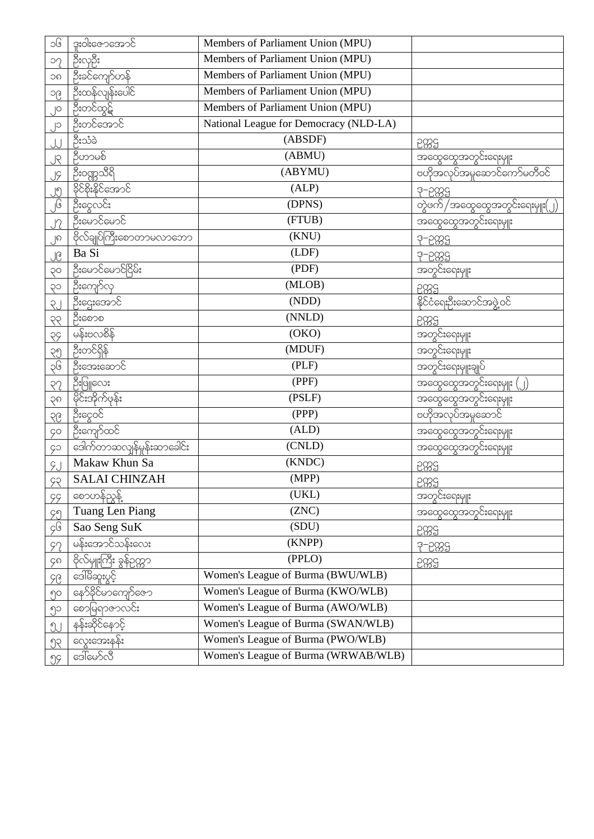| ၁၆                   | ဒူးဝါးဇောအောင်              | Members of Parliament Union (MPU)      |                                 |
|----------------------|-----------------------------|----------------------------------------|---------------------------------|
| $\circ$              | ဦးလှဦး                      | Members of Parliament Union (MPU)      |                                 |
| <b>OC</b>            | ဦးခင်ကျော်ဟန်               | Members of Parliament Union (MPU)      |                                 |
| ၁၉                   | ဦးထန်လျန်းပေါ်င်            | Members of Parliament Union (MPU)      |                                 |
| $\overline{)^\circ}$ | ဦးတင်ထွဋ်                   | Members of Parliament Union (MPU)      |                                 |
| $\cup$               | ဦးတင်အောင်                  | National League for Democracy (NLD-LA) |                                 |
| JJ                   | ဦးသံခဲ                      | (ABSDF)                                | 5889                            |
| SL.                  | ဝီဟာမစ်                     | (ABMU)                                 | <u>အထွေထွေအတွင်းရေးမှူး</u>     |
| <u>JÇ</u>            | ဦး၀ဏ္ဏသီရိ                  | (ABYMU)                                | ဗဟိုအလုပ်အမှုဆောင်ကော်မတီဝင်    |
| <u>၂၅</u>            | <u> ခိုင်စိုးနိုင်အောင်</u> | (ALP)                                  | 3-2889                          |
| ှ၆                   | ဦးငွေလင်း                   | (DPNS)                                 | တွဲဖက် /အထွေထွေအတွင်းရေးမှူး(၂) |
| JZ                   | ခြီးမောင်မောင်              | (FTUB)                                 | အထွေထွေအတွင်းရေးမှူး            |
| ၂၈                   | ဗိုလ်ချုပ်ကြီးစောတာမလာဘော   | (KNU)                                  | 3-2889                          |
| ၂၉                   | Ba Si                       | (LDF)                                  | 3-2889                          |
| OÇ                   | ဦးမောင်မောင်ငြိမ်း          | (PDF)                                  | အတွင်းရေးမှူး                   |
| cg                   | ဦးကျော်လု                   | (MLOB)                                 | 5889                            |
| RJ                   | ဦးဌေးအောင်                  | (NDD)                                  | နိုင်ငံရေးဦးဆောင်အဖွဲ့ဝင်       |
| 99                   | ဦးစောစ                      | (NNLD)                                 | 2889                            |
| 99                   | မန်းဗလစိန်                  | (OKO)                                  | အတွင်းရေးမှူး                   |
| 29                   | ဦးတင်ရှိန်                  | (MDUF)                                 | အတွင်းရေးမှူး                   |
| ၃၆                   | ဦးအေးဆောင်                  | (PLF)                                  | အတွင်းရေးမျုးချုပ်              |
| 55                   | ဦးဖြူလေး                    | (PPF)                                  | အထွေထွေအတွင်းရေးမျုး (          |
| $\sqrt{6}$           | မိုင်းအိုက်ဖုန်း            | (PSLF)                                 | အထွေထွေအတွင်းရေးမျုး            |
| $\sqrt{6}$           | ဦးငွေဝင်                    | (PPP)                                  | ပဟိုအလုပ်အမှုဆောင်              |
| <b>ço</b>            | ဦးကျော်ထင်                  | (ALD)                                  | အထွေထွေအတွင်းရေးမျုး            |
| ç                    | ဒေါက်တာဆလျန်မှုန်းဆာခေါင်း  | (CNLD)                                 | အထွေထွေအတွင်းရေးမျုး            |
| 9J                   | Makaw Khun Sa               | (KNDC)                                 | 5889                            |
| 92                   | <b>SALAI CHINZAH</b>        | (MPP)                                  | 2889                            |
| 99                   |                             | (UKL)                                  | အတွင်းရေးမှူး                   |
| 99                   | Tuang Len Piang             | (ZNC)                                  | အထွေထွေအတွင်းရေးမျုး            |
| ç၆                   | Sao Seng SuK                | (SDU)                                  | 5889                            |
| 92                   | မန်းအောင်သန်းလေး            | (KNPP)                                 | 3-2829                          |
| ၄၈                   | ဗိုလ်မျုးကြီး ခွန်ဉက္ကာ     | (PPLO)                                 | 5889                            |
| 96                   | ဒေါ်မိဆူးပွင့်              | Women's League of Burma (BWU/WLB)      |                                 |
| ၅၀                   | နော်ခိုင်မာကျော်ဇော         | Women's League of Burma (KWO/WLB)      |                                 |
| ၅၁                   | စောမြရာဇာလင်း               | Women's League of Burma (AWO/WLB)      |                                 |
| JJ                   | နန်းဆိုင်နောင့်             | Women's League of Burma (SWAN/WLB)     |                                 |
| $\mathcal{P}$        | လွေးအေးနန်း                 | Women's League of Burma (PWO/WLB)      |                                 |
| 99                   | ဒေါ်မော်လီ                  | Women's League of Burma (WRWAB/WLB)    |                                 |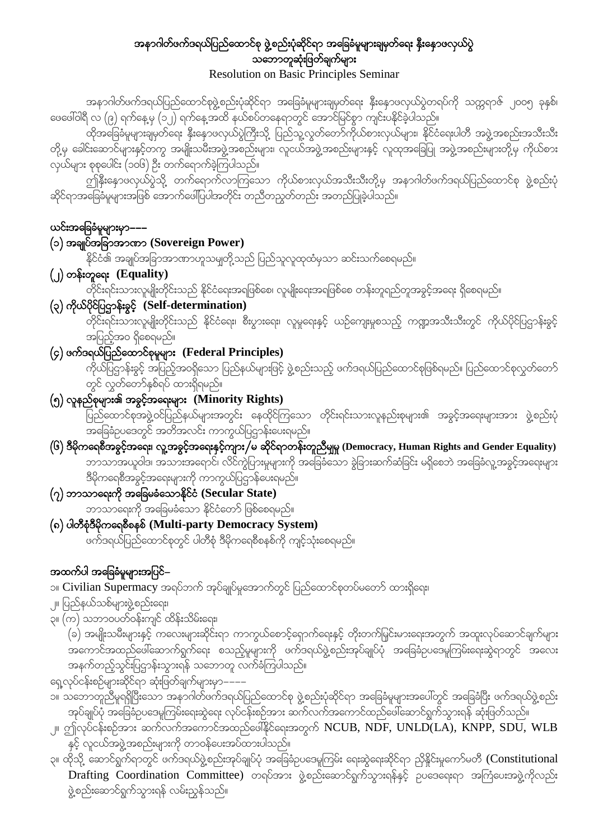### အနာဂါတ်ဖက်ဒရယ်ပြည်ထောင်စု ဖွဲ့စည်းပုံဆိုင်ရာ အခြေခံမူများချမှတ်ရေး နိုးနောဖလှယ်ပွဲ သဘောတူဆုံးဖြတ်ချက်များ Resolution on Basic Principles Seminar

အနာဂါတ်ဖက်ဒရယ်ပြည်ထောင်စုဖွဲ့စည်းပုံဆိုင်ရာ အခြေခံမူများချမှတ်ရေး နှီးနှောဖလှယ်ပွဲတရပ်ကို သက္ကရာဇ် ၂၀၀၅ ခုနှစ်၊ coပေါ်ဝါရီ လ (၉) ရက်နေ့မှ (၁၂) ရက်နေ့အထိ နယ်စပ်တနေရာတွင် အောင်မြင်စွာ ကျင်းပနိုင်ခဲ့ပါသည်။

 $\alpha$ တိအခြေခံမူများချမှတ်ရေး နိုးနောဖလှယ်ပွဲကြီးသို့ ပြည်သူ့လွတ်တော်ကိုယ်စားလှယ်များ၊ နိုင်ငံရေးပါတီ အဖွဲ့အစည်းအသီးသီး တို့မှ ခေါင်းဆောင်များနှင့်ဘကွ အမျိုးသမီးအဖွဲ့အစည်းများ၊ လူငယ်အဖွဲ့အစည်းများနှင့် လူထုအခြေပြု အဖွဲ့အစည်းများတို့မှ ကိုယ်စား လှယ်များ စုစုပေါင်း (၁၀၆) ဦး တက်ရောက်ခဲ့ကြပါသည်။

ကျ်နိုးနောဖလှယ်ပွဲသို့ တက်ရောက်လာကြသော ကိုယ်စားလှယ်အသီးသီးတို့မှ အနာဂါတ်ဖက်ဒရယ်ပြည်ထောင်စု ဖွဲ့စည်းပုံ ဆိုင်ရာအခြေခံမူများအဖြစ် အောက်ဖေါ်ပြပါအတိုင်း တညီတညွှတ်တည်း အတည်ပြုခဲ့ပါသည်။

### ယင်းအခြေခံမှုများမှာ––-

### (၁) အချုပ်အခြာအာဏာ (Sovereign Power)

.<br>နိုင်ငံ၏ အချုပ်အခြာအာဏာဟူသမျှတို့သည် ပြည်သူလူထုထံမှသာ ဆင်းသက်စေရမည်။

### (2) wef;wla&; **(Equality)**

တိုင်းရင်းသားလူမျိုးတိုင်းသည် နိုင်ငံရေးအရဖြစ်စေ၊ လူမျိုးရေးအရဖြစ်စေ တန်းတူရည်တူအခွင့်အရေး ရှိစေရမည်။

(၃) ကိုယ်ပိုင်ပြဌာန်းခွင့် (Self-determination)

wokific;<br>တိုင်းရင်းသားလူမျိုးတိုင်းသည် နိုင်ငံရေး၊ စီးပွားရေး၊ လူမှုရေးနှင့် ယဉ်ကျေးမှုစသည့် ကဏ္ဍအသီးသီးတွင် ကိုယ်ပိုင်ပြဌာန်းခွင့် အပြည့်အဝ ရှိစေရမည်။

 $\left(\varphi\right)$  ဖက်ဒရယ်ပြည်ထောင်စုမှုများ (Federal Principles)

ကိုယ်ပြဌာန်းခွင့် အပြည့်အဝရှိသော ပြည်နယ်များဖြင့် ဖွဲ့စည်းသည့် ဖက်ဒရယ်ပြည်ထောင်စုဖြစ်ရမည်။ ပြည်ထောင်စုလွှတ်တော် တွင် လွှတ်တော်နှစ်ရပ် ထားရှိရမည်။

### (၅) လူနည်စုများ၏ အခွင့်အရေးများ (Minority Rights)

 jynfaxmifpktzGJ@0ifjynfe,frsm;twGif; aexkdif=uaom wkdif;&if;om;vlenf;pkrsm;. tcGifhta&;rsm;tm; zGJ@pnf;ykH tajccHOya'wGif twdtvif; umuG,fjyXmef;ay;&rnf?

- $\ket{G}$  ဒီမိုကရေစီအခွင့်အရေး၊ လူ့အခွင့်အရေးနှင့်ကျား/မ ဆိုင်ရာတန်းတူညီမျှမှု (Democracy, Human Rights and Gender Equality) ်က်သောအယူဝါဒ၊ အသားအရောင်၊ လိင်ကွဲပြားမှုများကို အခြေခံသော ခွဲခြားဆက်ဆံခြင်း မရှိစေဘဲ အခြေခံလူ့အခွင့်အရေးများ ဒီမိုကရေစီအခွင့်အရေးများကို ကာကွယ်ပြဋ္ဌာန်ပေးရမည်။
- $\phi(\gamma)$  ဘာသာရေးကို အခြေမခံသောနိုင်ငံ (Secular State) ဘာသာရေးကို အခြေမခံသော နိုင်ငံတော် ဖြစ်စေရမည်။
- (၈) ပါတီစုံဒီမိုကရေစီစနစ် (Multi-party Democracy System) ဖက်ဒရယ်ပြည်ထောင်စုတွင် ပါတီစုံ ဒီမိုကရေစီစနစ်ကို ကျင့်သုံးစေရမည်။

### အထက်ပါ အခြေခံမူများအပြင်–

၁။ Civilian Supermacy အရပ်ဘက် အုပ်ချုပ်မှုအောက်တွင် ပြည်ထောင်စုတပ်မတော် ထားရှိရေး၊

- ု။ ပြည်နယ်သစ်များဖွဲ့စည်းရေး၊
- ၃။ (က) သဘာဝပတ်ဝန်းကျင် ထိန်းသိမ်းရေး၊

(ခ) အမျိုးသမီးများနှင့် ကလေးများဆိုင်းရာ ကာကွယ်စောင့်ရှောက်ရေးနှင့် တိုးတက်မြှင်းမားရေးအတွက် အထူးလုပ်ဆောင်ချက်များ  $\tau$ အကောင်အထည်ဖေါ်ဆောက်ရွက်ရေး စသည့်မူများကို ဖက်ဒရယ်ဖွဲ့စည်းအုပ်ချုပ်ပုံ အခြေခံဥပဒေမူကြမ်းရေးဆွဲရာတွင် အလေး အနက်တည့်သွင်းပြဌာန်းသွားရန် သဘောတူ လက်ခံကြပါသည်။

- ရှေ့လုပ်ငန်းစဉ်များဆိုင်ရာ ဆုံးဖြတ်ချက်များမှာ--
- ၁။ သဘောတူညီမူရရှိပြီးသော အနာဂါတ်ဖက်ဒရယ်ပြည်ထောင်စု ဖွဲ့စည်းပုံဆိုင်ရာ အခြေခံမူများအပေါ်တွင် အခြေခံပြီး ဖက်ဒရယ်ဖွဲ့စည်း အုပ်ချုပ်ပုံ အခြေခံဥပဒေမူကြမ်းရေးဆွဲရေး လုပ်ငန်းစဉ်အား ဆက်လက်အကောင်ထည်ဖေါ်ဆောင်ရွက်သွားရန် ဆုံးဖြတ်သည်။
- ္။ ဤလုပ်ငန်းစဉ်အား ဆက်လက်အကောင်အထည်ဖေါ်နိုင်ရေးအတွက် NCUB, NDF, UNLD(LA), KNPP, SDU, WLB နှင့် လူငယ်အဖွဲ့အစည်းများကို တာဝန်ပေးအပ်ထားပါသည်။
- ၃။ ထိုသို့ ဆောင်ရွက်ရာတွင် ဖက်ဒရယ်ဖွဲ့စည်းအုပ်ချုပ်ပုံ အခြေခံဥပဒေမူကြမ်း ရေးဆွဲရေးဆိုင်ရာ ညှိနှိုင်းမှုကော်မတီ (Constitutional Drafting Coordination Committee) တရပ်အား ဖွဲ့စည်းဆောင်ရွက်သွားရန်နှင့် ဉပဒေရေးရာ အကြံပေးအဖွဲ့ကိုလည်း ဖွဲ့စည်းဆောင်ရွက်သွားရန် လမ်းညွန်သည်။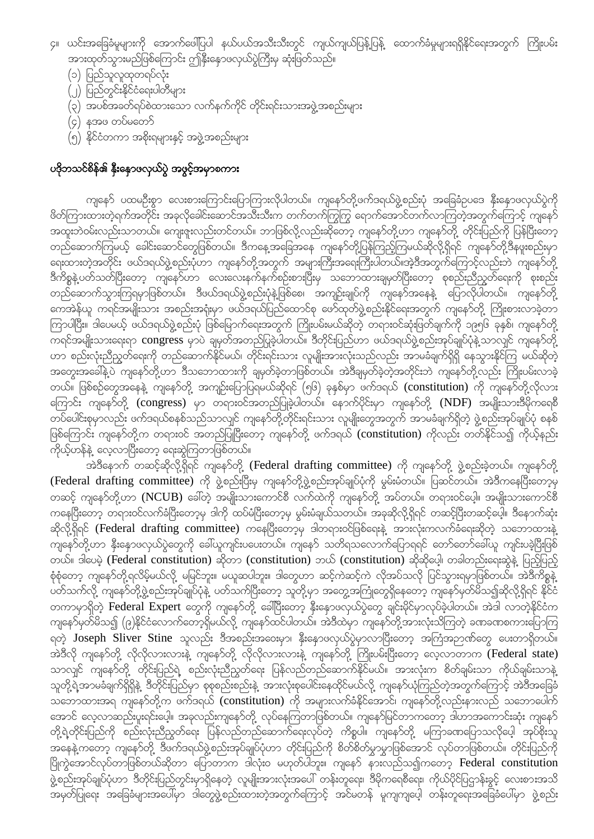- ၄။ ယင်းအခြေခံမူများကို အောက်ဖေါ်ပြပါ နယ်ပယ်အသီးသီးတွင် ကျယ်ကျယ်ပြန့်ပြန့် ထောက်ခံမှုများရရှိနိုင်ရေးအတွက် ကြိုးပမ်း အားထုတ်သွားမည်ဖြစ်ကြောင်း ဤနှီးနှောဖလှယ်ပွဲကြီးမှ ဆုံးဖြတ်သည်။
	- (၁) ပြည်သူလူထုတရပ်လုံး
	- (၂) ပြည်တွင်းနိုင်ငံရေးပါတီများ
	- (၃) အပစ်အခတ်ရပ်စဲထားသော လက်နက်ကိုင် တိုင်းရင်းသားအဖွဲ့အစည်းများ
	- (၄) နအဖ တပ်မတော်
	- (၅) နိုင်ငံတကာ အစိုးရများနှင့် အဖွဲ့အစည်းများ

### ပဒိုဘသင်စိန်၏ နိုးနောဖလှယ်ပွဲ အဖွင့်အမှာစကား

ကျနော် ပထမဦးစွာ လေးစားကြောင်းပြောကြားလိုပါတယ်။ ကျနော်တို့ဖက်ဒရယ်ဖွဲ့စည်းပုံ အခြေခံဥပဒေ နိုးနောဖလှယ်ပွဲကို ဖိတ်ကြားထားတဲ့ရက်အတိုင်း အခုလိုခေါင်းဆောင်အသီးသီးက တက်တက်ကြွကြွ ရောက်အောင်တက်လာကြတဲ့အတွက်ကြောင့် ကျနော် အထူးဘဲဝမ်းလည်းသာတယ်။ ကျေးဇူးလည်းတင်တယ်။ ဘာဖြစ်လို့လည်းဆိုတော့ ကျနော်တို့ဟာ ကျနော်တို့ တိုင်းပြည်ကို ပြန်ပြီးတော့ တည်ဆောက်ကြမယ့် ခေါင်းဆောင်တွေဖြစ်တယ်။ ဒီကနေ့အခြေအနေ ကျနော်တို့ပြန်ကြည့်ကြမယ်ဆိုလို့ရှိရင် ကျနော်တို့ဒီနဖူးစည်းမှာ ရေးထားတဲ့အတိုင်း ဖယ်ဒရယ်ဖွဲ့စည်းပုံဟာ ကျနော်တို့အတွက် အများကြီးအရေးကြီးပါတယ်။အဲ့ဒီအတွက်ကြောင့်လည်းဘဲ ကျနော်တို ဒီကိစ္စနဲ့ပတ်သတ်ပြီးတော့ ကျနော်ဟာ လေးလေးနက်နက်စဉ်းစားပြီးမှ သဘောထားချမှတ်ပြီးတော့ စုစည်းညီညွတ်ရေးကို စုးစည်း တည်ဆောက်သွားကြရမှာဖြစ်တယ်။ ဒီဖယ်ဒရယ်ဖွဲ့စည်းပုံနဲ့ဖြစ်စေ၊ အကျဉ်းချုပ်ကို ကျနော်အနေနဲ့ ပြောလိုပါတယ်။ ကျနော်တို့ -<br>ကေအဲန်ယူ ကရင်အမျိုးသား အစည်းအရုံးမှာ ဖယ်ဒရယ်ပြည်ထောင်စု ဖော်ထုတ်ဖွဲ့စည်းနိုင်ရေးအတွက် ကျနော်တို့ ကြိုးစားလာခဲ့တာ ကြာပါပြီး။ ဒါပေမယ့် ဖယ်ဒရယ်ဖွဲ့စည်းပုံ ဖြစ်မြောက်ရေးအတွက် ကြိုးပမ်းမယ်ဆိုတဲ့ တရားဝင်ဆုံးဖြတ်ချက်ကို ၁၉၅၆ ခုနှစ်၊ ကျနော်တို့ ကရင်အမျိုးသားရေးရာ congress မှာပဲ ချမှတ်အတည်ပြုခဲ့ပါတယ်။ ဒီတိုင်းပြည်ဟာ ဖယ်ဒရယ်ဖွဲ့စည်းအုပ်ချုပ်ပုံနဲ့ သာလျင် ကျနော်တို့ ဟာ စည်းလုံးညီညွတ်ရေးကို တည်ဆောက်နိုင်မယ်၊ တိုင်းရင်းသား လူမျိုးအားလုံးသည်လည်း အာမခံချက်ရှိရှိ နေသွားနိုင်ကြ မယ်ဆိုတဲ့ အတွေးအခေါ်နဲ့ပဲ ကျနော်တို့ဟာ ဒီသဘောထားကို ချမှတ်ခဲ့တာဖြစ်တယ်။ အဲဒီချမှတ်ခဲ့တဲ့အတိုင်းဘဲ ကျနော်တို့လည်း ကြိုးပမ်းလာခဲ့ တယ်။ ဖြစ်စဉ်တွေအနေနဲ့ ကျနော်တို့ အကျဉ်းပြောပြရမယ်ဆိုရင် (၅၆) ခုနှစ်မှာ ဖက်ဒရယ် (constitution) ကို ကျနော်တို့လိုလား ကြောင်း ကျနော်တို့ (congress) မှာ တရားဝင်အတည်ပြုခဲ့ပါတယ်။ နောက်ပိုင်းမှာ ကျနော်တို့ (NDF) အမျိုးသားဒီမိုကရေစီ တပ်ပေါင်းစုမှာလည်း ဖက်ဒရယ်စနစ်သည်သာလျင် ကျနော်တို့တိုင်းရင်းသား လူမျိုးတွေအတွက် အာမခံချက်ရှိတဲ့ ဖွဲ့စည်းအုပ်ချုပ်ပုံ စနစ် ဖြစ်ကြောင်း ကျနော်တို့က တရားဝင် အတည်ပြုပြီးတော့ ကျနော်တို့ ဖက်ဒရယ် (constitution) ကိုလည်း တတ်နိုင်သ၍ ကိုယ့်နည်း ကိုယ့်ဟန်နဲ့ လေ့လာပြီးတော့ ရေးဆွဲကြတာဖြစ်တယ်။

အဲဒီနောက် တဆင့်ဆိုလို့ရှိရင် ကျနော်တို့ (Federal drafting committee) ကို ကျနော်တို့ ဖွဲ့စည်းခဲ့တယ်။ ကျနော်တို့ (Federal drafting committee) ကို ဖွဲ့စည်းပြီးမှ ကျနော်တို့ဖွဲ့စည်းအုပ်ချုပ်ပုံကို မွမ်းမံတယ်။ ပြဆင်တယ်။ အဲဒီကနေပြီးတော့မှ တဆင့် ကျနော်တို့ဟာ (NCUB) ခေါ်တဲ့ အမျိုးသားကောင်စီ လက်ထဲကို ကျနော်တို့ အပ်တယ်။ တရားဝင်ပေ့ါ။ အမျိုးသားကောင်စီ ကနေပြီးတော့ တရားဝင်လက်ခံပြီးတော့မှ ဒါကို ထပ်မံပြီးတော့မှ မွမ်းမံချယ်သတယ်။ အခုဆိုလို့ရှိရင် တဆင့်ပြီးတဆင့်ပေ့ါ။ ဒီနောက်ဆုံး ဆိုလို့ရှိရင် (Federal drafting committee) ကနေပြီးတော့မှ ဒါတရားဝင်ဖြစ်ရေးနဲ့ အားလုံးကလက်ခံရေးဆိုတဲ့ သဘောထားနဲ့ .<br>ကျနော်တို့ဟာ နှီးနှောဖလှယ်ပွဲတွေကို ခေါ်ယူကျင်းပပေးတယ်။ ကျနော် သတိရသလောက်ပြောရရင် တော်တော်ခေါ်ယူ ကျင်းပခဲ့ပြီးဖြစ် တယ်။ ဒါပေမဲ့ (Federal constitution) ဆိုတာ (constitution) ဘယ် (constitution) ဆိုဆိုပေ့ါ၊ တခါတည်းရေးဆွဲနဲ့ ပြည့်ပြည့် စုံစုံတော့ ကျနော်တို့ရလိမ့်မယ်လို့ မမြင်ဘူး။ မယူဆပါဘူး။ ဒါတွေဟာ ဆင့်ကဲဆင့်ကဲ လိုအပ်သလို ပြင်သွားရမှာဖြစ်တယ်။ အဲဒီကိစ္စနဲ့ ပတ်သက်လို့ ကျနော်တို့ဖွဲ့စည်းအုပ်ချုပ်ပုံနဲ့ ပတ်သက်ပြီးတော့ သူတို့မှာ အတွေ့အကြုံတွေရှိနေတော့ ကျနော်မှတ်မိသ၍ဆိုလို့ရှိရင် နိုင်ငံ တကာမှာရှိတဲ့ Federal Expert တွေကို ကျနော်တို့ ခေါ်ပြီးတော့ နှီးနှောဖလှယ်ပွဲတွေ ချင်းမိုင်မှာလုပ်ခဲ့ပါတယ်။ အဲဒါ လာတဲ့နိုင်ငံက ကျနော်မှတ်မိသ၍ (၉)နိုင်ငံလောက်တော့ရှိမယ်လို့ ကျနော်ထင်ပါတယ်။ အဲဒီထဲမှာ ကျနော်တို့အားလုံးသိကြတဲ့ ခဏခဏစကားပြောကြ ရတဲ့ Joseph Sliver Stine သူလည်း ဒီအစည်းအဝေးမှာ၊ နှီးနှောဖလှယ်ပွဲမှာလာပြီးတော့ အကြံအဉာဏ်တွေ ပေးတာရှိတယ်။ အဲဒီလို ကျနော်တို့ လိုလိုလားလားနဲ့ ကျနော်တို့ လိုလိုလားလားနဲ့ ကျနော်တို့ ကြိုးပမ်းပြီးတော့ လေ့လာတာက (Federal state) သာလျှင် ကျနော်တို့ တိုင်းပြည်ရဲ့ စည်းလုံးညီညွတ်ရေး ပြန်လည်တည်ဆောက်နိုင်မယ်။ အားလုံးက စိတ်ချမ်းသာ ကိုယ်ချမ်းသာနဲ့ သူတို့ရဲ့အာမခံချက်ရှိရှိနဲ့ ဒီတိုင်းပြည်မှာ စုစုစည်းစည်းနဲ့ အားလုံးစုပေါင်းနေထိုင်မယ်လို့ ကျနော်ယုံကြည်တဲ့အတွက်ကြောင့် အဲဒီအခြေခံ သဘောထားအရ ကျနော်တို့က ဖက်ဒရယ် (constitution) ကို အများလက်ခံနိုင်အောင်၊ ကျနော်တို့လည်းနားလည် သဘောပေါက် အောင် လေ့လာဆည်းပူးရင်းပေ့ါ။ အခုလည်းကျနော်တို့ လုပ်နေကြတာဖြစ်တယ်။ ကျနော်မြင်တာကတော့ ဒါဟာအကောင်းဆုံး ကျနော် တို့ရဲ့တိုင်းပြည်ကို စည်းလုံးညီညွှတ်ရေး ပြန်လည်တည်ဆောက်ရေးလုပ်တဲ့ ကိစ္စပါ။ ကျနော်တို့ မကြာခဏပြောသလိုပေ့ါ် အုပ်စိုးသူ အနေနဲ့ ကတော့ ကျနော်တို့ ဒီဖက်ဒရယ်ဖွဲ့စည်းအုပ်ချုပ်ပုံဟာ တိုင်းပြည်ကို စိတ်စိတ်မွှာမွှာဖြစ်အောင် လုပ်တာဖြစ်တယ်။ တိုင်းပြည်ကို ပြိုကွဲအောင်လုပ်တာဖြစ်တယ်ဆိုတာ ပြောတာက ဒါလုံးဝ မဟုတ်ပါဘူး။ ကျနော် နားလည်သ၍ကတော့ Federal constitution ဖွဲ့စည်းအုပ်ချုပ်ပုံဟာ ဒီတိုင်းပြည်တွင်းမှာရှိနေတဲ့ လူမျိုးအားလုံးအပေါ် တန်းတူရေး၊ ဒီမိုကရေစီရေး၊ ကိုယ်ပိုင်ပြဌာန်းခွင့် လေးစားအသိ ့<br>အမှတ်ပြုရေး အခြေခံများအပေါ်မှာ ဒါတွေဖွဲ့စည်းထားတဲ့အတွက်ကြောင့် အင်မတန် မူကျကျပေ့၊ တန်းတူရေးအခြေခံပေါ်မှာ ဖွဲ့စည်း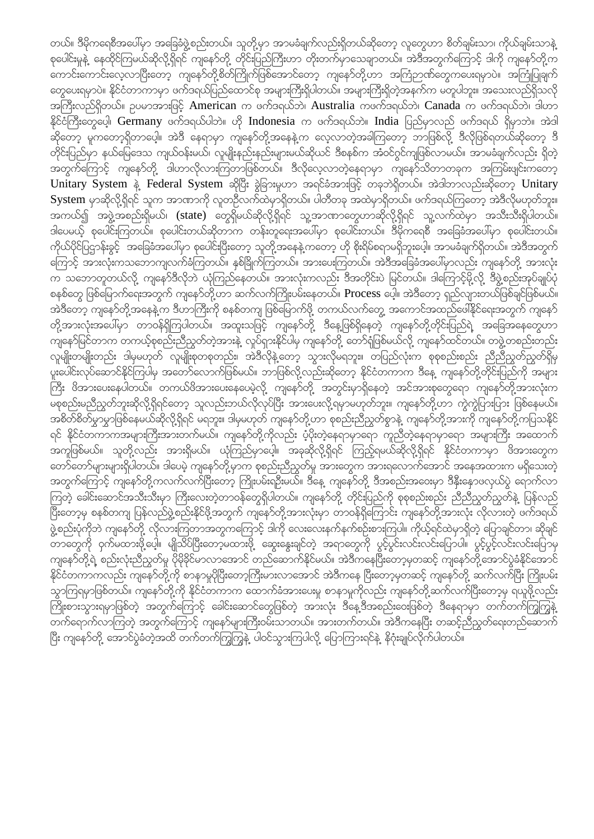တယ်။ ဒီမိုကရေစီအပေါ်မှာ အခြေခံဖွဲ့စည်းတယ်။ သူတို့မှာ အာမခံချက်လည်းရှိတယ်ဆိုတော့ လူတွေဟာ စိတ်ချမ်းသာ၊ ကိုယ်ချမ်းသာနဲ့ pပေါင်းမှုနဲ့ နေထိုင်ကြမယ်ဆိုလို့ရှိရင် ကျနော်တို့ တိုင်းပြည်ကြီးဟာ တိုးတက်မှာသေချာတယ်။ အဲဒီအတွက်ကြောင့် ဒါကို ကျနော်တို့က ု ကျိုးစား လေသည်။<br>နောက်ရောက်ရောက်ပြီးတော့ ကျနော်တို့စိတ်ကြိုက်ဖြစ်အောင်တော့ ကျနော်တို့ဟာ အကြံဉာဏ်တွေကပေးမှောပဲ။ အကြံုပြုချက်  $\sim$ ေားရမှာပဲ။ နိုင်ငံတာကာမှာ ဖက်ဒရယ်ပြည်ထောင်စု အများကြီးရှိပါတယ်။ အများကြီးရှိတဲ့အနက်က မတူပါဘူး။ အသေးလည်ရှိသလို t}uD;vnf&Sdw,f? Oyrmtm;jzifh American u zuf'&,fbJ/ Australia uzuf'&,fbJ/ Canada u zuf'&,fbJ/ 'g[m နိုင်ငံကြီးတွေပေ့ါ၊ Germany ဖက်ဒရယ်ပါဘဲ။ ဟို Indonesia က ဖက်ဒရယ်ဘဲ။ India ပြည်မှာလည် ဖက်ဒရယ် ရှိမှာဘဲ။ အဲဒါ qkdawmh rluawmh&Sdwmaygh? tJ'D ae&mrSm usaemfwkd@taeeJ@u avhvmwJhtcg=uawmh bmjzpfvkd@ 'Dvkdjzpf&w,fqkdawmh 'D တိုင်းပြည်မှာ နယ်မြေဒေသ ကျယ်ဝန်းမယ်၊ လူမျိုးနည်းနည်းများမယ်ဆိုယင် ဒီစနစ်က အံဝင်ဂွင်ကျဖြစ်လာမယ်။ အာမခံချက်လည်း ရှိတဲ့ ်လွှေသည်။<br>အတွက်ကြောင့် ကျနော်တို့ ဒါဟာလိုလားကြတာဖြစ်တယ်။ ဒီလိုလေ့လာတဲ့နေရာမှာ ကျနော်သိတာတခုက အကြမ်းဖျင်းကတော့  $\overline{\text{Uniform}}$  System နဲ့ Federal System ဆိုပြီး ခွဲခြားမှုဟာ အရင်ခံအားဖြင့် တခုဘဲရှိတယ်။ အဲဒါဘာလည်းဆိုတော့ Unitary  $S$ ystem မှာဆိုလို့ရှိရင် သူက အာဏာကို လူတဦလက်ထဲမှာရှိတယ်။ ပါတီတခု အထဲမှာရှိတယ်။ ဖက်ဒရယ်ကြတော့ အဲဒီလိုမဟုတ်ဘူး။ <u>အကယ်၍ အဖွဲ့အစည်းရှိမယ်၊ (state) တွေရှိမယ်ဆိုလို့ရှိရင် သူ့အာဏာတွေဟာဆိုလို့ရှိရင် သူ့လက်ထဲမှာ အသီးသီးရှိပါတယ်။</u> 'ဒါပေမယ့် စုပေါင်းကြတယ်။ စုပေါင်းတယ်ဆိုတာက တန်းတူရေးအပေါ်မှာ စုပေါင်းတယ်။ ဒီမိုကရေစီ အခြေခံအပေါ်မှာ စုပေါင်းတယ်။ ကိုယ်ပိုင်ပြဌာန်းခွင့် အခြေခံအပေါ်မှာ စုပေါင်းပြီးတော့ သူတို့အနေနဲ့ကတော့ ဟို စိုးရိမ်စရာမရှိဘူးပေါ့။ အာမခံချက်ရှိတယ်။ အဲဒီအတွက် ့<br>ကြောင့် အားလုံးကသဘောကျလက်ခံကြတယ်။ နှစ်ခြိုက်ကြတယ်။ အားပေးကြတယ်။ အဲဒီအခြေခံအပေါ်မှာလည်း ကျနော်တို့ အားလုံး u တဆောတူတယ်လို့ ကျနော်ဒီလိုဘဲ ယုံကြည်နေတယ်။ အားလုံးကလည်း ဒီအတိုင်းပဲ မြင်တယ်။ ဒါကြောင့်မို့လို့ ဒီဖွဲ့စည်းအုပ်ချုပ်ပုံ စနစ်တွေ ဖြစ်မြောက်ရေးအတွက် ကျနော်တို့ဟာ ဆက်လက်ကြိုးပမ်းနေတယ်။ Process ပေါ့။ အဲဒီတော့ ရှည်လျားတယ်ဖြစ်ချင်ဖြစ်မယ်။ က်<br>အဲဒီတော့ ကျနော်တို့အနေနဲ့က ဒီဟာကြီးကို စနစ်တကျ ဖြစ်မြောက်ဖို့ တကယ်လက်တွေ့ အကောင်အထည်ဖေါ်နိုင်ရေးအတွက် ကျနော် တို့အားလုံးအပေါ်မှာ တာဝန်ရှိကြပါတယ်။ အထူးသဖြင့် ကျနော်တို့ ဒီနေ့ဖြစ်ရှိနေတဲ့ ကျနော်တို့တိုင်းပြည်ရဲ့ အခြေအနေတွေဟာ ကျနော်မြင်တာက တကယ့်စုစည်းညီညွတ်တဲ့အားနဲ့ လှုပ်ရှားနိုင်ပါမှ ကျနော်တို့ တော်ရုံဖြစ်မယ်လို့ ကျနော်ထင်တယ်။ တဖွဲ့တစည်းတည်း လူမျိုးတမျိုးတည်း ဒါမှမဟုတ် လူမျိုးစုတစုတည်း၊ အဲဒီလိုနဲ့တော့ သွားလိုမရဘူး။ တပြည်လုံးက စုစုစည်းစည်း ညီညီညွတ်ညွတ်ရှိမ ှုးဆိုင်းလုပ်ဆောင်နိုင်ကြပါမှ အတော်လောက်ဖြစ်မယ်။ ဘာဖြစ်လို့လည်းဆိုတော့ နိုင်ငံတကာက ဒီနေ့ ကျနော်တို့တိုင်းပြည်ကို အများ ကြီး ဖိအားပေးနေပါတယ်။ တကယ်ဖိအားပေးနေပေမဲ့လို့ ကျနော်တို့ အတွင်းမှာရှိနေတဲ့ အင်အားစုတွေရော ကျနော်တို့အားလုံးက rpwpf;မညီညွတ်ဘူးဆိုလို့ရှိရင်တော့ သူလည်းဘယ်လိုလုပ်ပြီး အားပေးလို့ရမှာမဟုတ်ဘူး။ ကျနော်တို့ဟာ ကွဲကွဲပြားပြား ဖြစ်နေမယ်။ <u>အစိတ်စိတ်မွ</u>ာမွာဖြစ်နေမယ်ဆိုလို့ရှိရင် မရဘူး။ ဒါမှမဟုတ် ကျနော်တို့ဟာ စုစည်းညီညွတ်စွာနဲ့ ကျနော်တို့အားကို ကျနော်တို့ကပြသနိုင် ရင် နိုင်ငံတကာကအများကြီးအားတက်မယ်။ ကျနော်တို့ကိုလည်း ပံ့ပိုးတဲ့နေရာမှာရော ကူညီတဲ့နေရာမှာရော အများကြီး အထောက် <u>်</u>အကူဖြစ်မယ်။ သူတို့လည်း အားရှိမယ်။ ယုံကြည်မှာပေါ့။ အခုဆိုလို့ရှိရင် ကြည့်ရမယ်ဆိုလို့ရှိရင် နိုင်ငံတကာမှာ ဖိအားတွေက aw.com<br>အော်တော်များများရှိပါတယ်။ ဒါပေမဲ့ ကျနော်တို့မှာက စုစည်းညီညွတ်မှု အားတွေက အားရလောက်အောင် အနေအထားက မရှိသေးတဲ့ အတွက်ကြောင့် ကျနော်တို့ကလက်လက်ပြီးတော့ ကြိုးပမ်းရဦးမယ်။ ဒီနေ့ ကျနော်တို့ ဒီအစည်းအဝေးမှာ ဒီနီးနောဖလှယ်ပွဲ ရောက်လာ ကြတဲ့ ခေါင်းဆောင်အသီးသီးမှာ ကြီးလေးတဲ့တာဝန်တွေရှိပါတယ်။ ကျနော်တို့ တိုင်းပြည်ကို စုစုစည်းစည်း ညီညီညွတ်ညွတ်နဲ့ ပြန်လည ကြီးတော့မှ စနစ်တကျ ပြန်လည်ဖွဲ့စည်းနိုင်ဖို့အတွက် ကျနော်တို့အားလုံးမှာ တာဝန်ရှိကြောင်း ကျနော်တို့အားလုံး လိုလားတဲ့ ဖက်ဒရယ် ဖွဲ့စည်းပုံကိုဘဲ ကျနော်တို့ လိုလားကြတာအတွကကြောင့် ဒါကို လေးလေးနက်နက်စဉ်းစားကြပါ။ ကိုယ့်ရင်ထဲမှာရှိတဲ့ ပြောချင်တာ၊ ဆိုချင် wmawgod op redikation;<br>ဒီကြီးလိုင်းလည်းကြီးကျောက်ကြီး အသုံးပြောင်းကြီး ရောက်အေးချင်တဲ့ အရာတွေကို ပွင့်ပွင်းလင်းလင်းပြောပါ။ ပွင့်ပွင့်လင်းလင်းပြောမှ ကျနော်တို့ရဲ့ စည်းလုံးညီညွတ်မှု ပိုမိုနိုင်မာလာအောင် တည်ဆောက်နိုင်မယ်။ အဲဒီကနေပြီးတော့မှတဆင့် ကျနော်တို့အောင်ပွဲခံနိုင်အောင် .<br>နိုင်ငံတကာကလည်း ကျနော်တို့ကို စာနာမှုပိုပြီးတော့ကြီးမားလာအောင် အဲဒီကနေ ပြီးတော့မှတဆင့် ကျနော်တို့ ဆက်လက်ပြီး ကြိုးပမ်း တွေကြရမှာဖြစ်တယ်။ ကျနော်တို့ကို နိုင်ငံတကာက ထောက်ခံအားပေးမှု စာနာမှုကိုလည်း ကျနော်တို့ဆက်လက်ပြီးတော့မှ ရယူဖို့လည်း ြကျိုးစားသွားရမှာဖြစ်တဲ့ အတွက်ကြောင့် ခေါင်းဆောင်တွေဖြစ်တဲ့ အားလုံး ဒီနေ့ဒီအစည်းဝေးဖြစ်တဲ့ ဒီနေရာမှာ တက်တက်ကြွကြွနဲ့ www.asaron.com<br>တက်ရောက်လာကြတဲ့ အတွက်ကြောင့် ကျနော်များကြီးဝမ်းသာတယ်။ အားတက်တယ်။ အဲဒီကနေပြီး တဆင့်ညီညွတ်ရေးတည်ဆောက် |ပြီး ကျနော်တို့ အောင်ပွဲခံတဲ့အထိ တက်တက်ကြွကြွနဲ့ ပါဝင်သွားကြပါလို့ ပြောကြားရင်နဲ့ နိဂုံးချုပ်လိုက်ပါတယ်။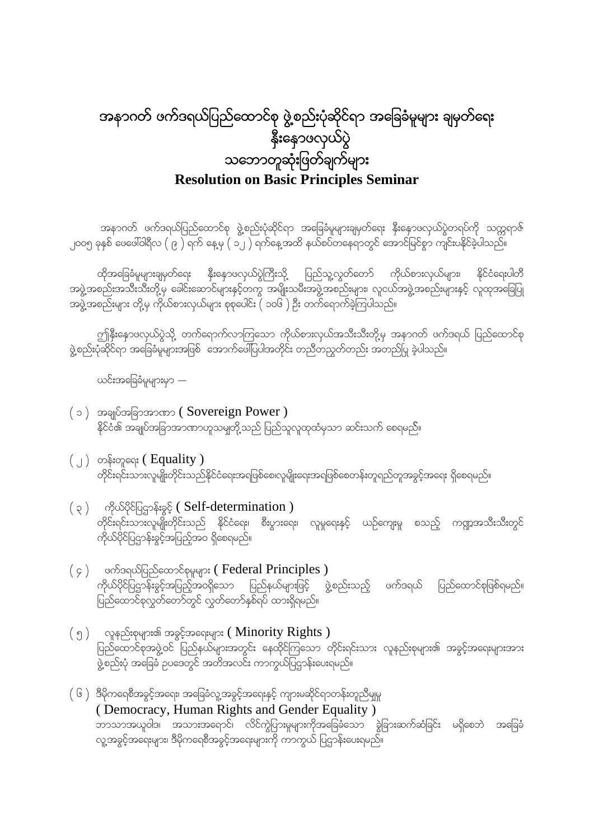# အနာဂတ် ဖက်ဒရယ်ပြည်ထောင်စု ဖွဲ့စည်းပုံဆိုင်ရာ အခြေခံမူများ ချမှတ်ရေး နိုးနောဖလှယ်ပွဲ သဘောတူဆုံးဖြတ်ချက်များ **Resolution on Basic Principles Seminar**

အနာဂတ် ဖက်ဒရယ်ပြည်ထောင်စု ဖွဲ့စည်းပုံဆိုင်ရာ အခြေခံမူများချမှတ်ရေး နှီးနှောဖလှယ်ပွဲတရပ်ကို သက္ကရာဇ် 2005 ckESpf azaz:0g&Dv ( 9 ) &uf ae@rS ( 12 ) &ufae@txd e,fpyfwae&mwGif atmifjrifpGm usif;yEdkifcJhygonf?

ထိုအခြေခံမူများချမှတ်ရေး နှီးနှောဖလှယ်ပွဲကြီးသို့ ပြည်သူ့လွတ်တော် ကိုယ်စားလှယ်များ၊ နိုင်ငံရေးပါတီ အဖွဲ့အစည်းအသီးသီးတို့မှ ခေါင်းဆောင်များနှင့်တကွ အမျိုးသမီးအဖွဲ့အစည်းများ၊ လူငယ်အဖွဲ့အစည်းများနှင့် လူထုအခြေပြု <u>အဖွဲ့</u>အစည်းများ တို့မှ ကိုယ်စားလှယ်များ စုစုပေါင်း ( ၁၀၆ ) ဦး တက်ရောက်ခဲ့ကြပါသည်။

ဤနှီးနှောဖလှယ်ပွဲသို့ တက်ရောက်လာကြသော ကိုယ်စားလှယ်အသီးသီးတို့မှ အနာဂတ် ဖက်ဒရယ် ပြည်ထောင်စု ဖွဲ့စည်းပုံဆိုင်ရာ အခြေခံမူများအဖြစ် အောက်ဖေါ်ပြပါအတိုင်း တညီတညွတ်တည်း အတည်ပြ ခဲ့ပါသည်။

ယင်းအခြေခံမူများမှာ  $-$ 

- $( \circ )$  အချုပ်အခြာအာဏာ ( Sovereign Power ) နိုင်ငံ၏ အချုပ်အခြာအာဏာဟူသမျတို့သည် ပြည်သူလူထုထံမှသာ ဆင်းသက် စေရမည်။
- $\left(\begin{array}{c} 0 \end{array}\right)$  တန်းတူရေး ( Equality ) တိုင်းရင်းသားလူမျိုးတိုင်းသည်နိုင်ငံရေးအရဖြစ်စေ၊လူမျိုးရေးအရဖြစ်စေတန်းတူရည်တူအခွင့်အရေး ရှိစေရမည်။
- $( \, \varphi \, )$  ကိုယ်ပိုင်ပြဌာန်းခွင့် (Self-determination ) တိုင်းရင်းသားလူမျိုးတိုင်းသည် နိုင်ငံရေး၊ စီးပွားရေး၊ လူမှုရေးနှင့် ယဉ်ကျေးမှု စသည့် ကဏ္ဍအသီးသီးတွင် ကိုယ်ပိုင်ပြဌာန်းခွင့်အပြည့်အဝ ရှိစေရမည်။
- $( \circ )$  ဖက်ဒရယ်ပြည်ထောင်စုမှုများ (Federal Principles ) ကိုယ်ပိုင်ပြဌာန်းခွင့်အပြည့်အဝရှိသော ပြည်နယ်များဖြင့် ဖွဲ့စည်းသည့် ဖက်ဒရယ် ပြည်ထောင်စုဖြစ်ရမည်။ ျား<br>ကြည်ထောင်စုလွှတ်တော်တွင် လွှတ်တော်နှစ်ရပ် ထားရှိရမည်။
- $\left( \begin{array}{cc} \mathfrak{g} \end{array} \right)$  လူနည်းစုများ၏ အခွင့်အရေးများ ( Minority Rights ) ပြည်ထောင်စုအဖွဲ့ဝင် ပြည်နယ်များအတွင်း နေထိုင်ကြသော တိုင်းရင်းသား လူနည်းစုများ၏ အခွင့်အရေးများအား ာ<br>ဖွဲ့စည်းပုံ အခြေခံ ဥပဒေတွင် အတိအလင်း ကာကွယ်ပြဌာန်းပေးရမည်။
- $($   $\rm 6$   $)$   $\,$  ဒီမိုကရေစီအခွင့်အရေး၊ အခြေခံလူ့အခွင့်အရေးနှင့် ကျားမဆိုင်ရာတန်းတူညီမျှမှု ( Democracy, Human Rights and Gender Equality ) ဘာသာအယူဝါဒ၊ အသားအရောင်၊ လိင်ကွဲပြားမှုများကိုအခြေခံသော ခွဲခြားဆက်ဆံခြင်း မရှိစေဘဲ အခြေခံ r<br>လူ့အခွင့်အရေးများ၊ ဒီမိုကရေစီအခွင့်အရေးများကို ကာကွယ် ပြဌာန်းပေးရမည်။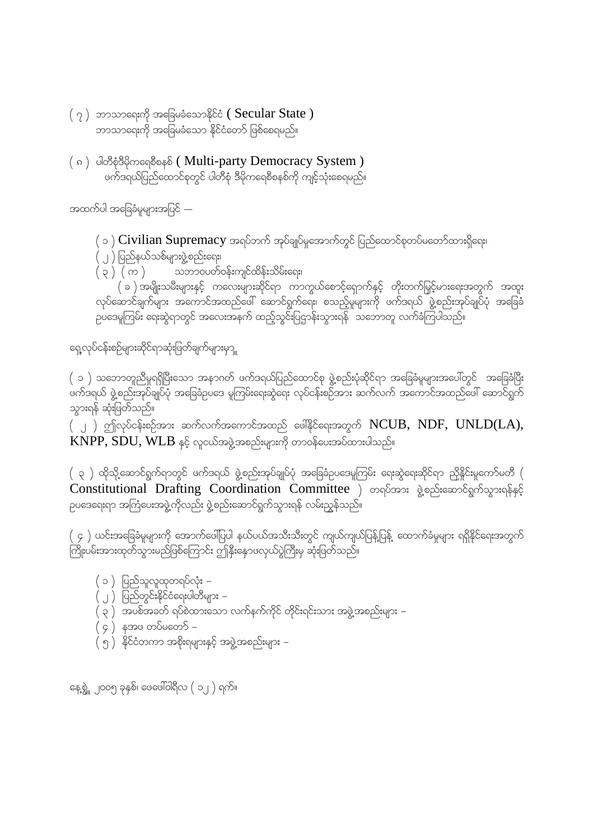- $(\gamma)$  ဘာသာရေးကို အခြေမခံသောနိုင်ငံ (Secular State ) ဘာသာရေးကို အခြေမခံသော နိုင်ငံတော် ဖြစ်စေရမည်။
- (၈) ပါတီစုံဒီမိုကရေစီစနစ် ( Multi-party Democracy System )  $\alpha$ တ်ဒရယ်ပြည်ထောင်စုတွင် ပါတီစုံ ဒီမိုကရေစီစနစ်ကို ကျင့်သုံးစေရမည်။

အထက်ပါ အခြေခံမူများအပြင် $-$ 

 $\phi(\infty)$  Civilian Supremacy အရပ်ဘက် အုပ်ချုပ်မှုအောက်တွင် ပြည်ထောင်စုတပ်မတော်ထားရှိရေး၊

- $\overline{(\ ,\ )}$  ပြည်နယ်သစ်များဖွဲ့စည်းရေး၊
- $\left(\, \rho\,\right)\,$  (  $\,$   $\cap$  )  $\qquad$  သဘာဝပတ်ဝန်းကျင်ထိန်းသိမ်းရေး၊

 $( \, \circ \, )$  အမျိုးသမီးများနှင့် ကလေးများဆိုင်ရာ ကာကွယ်စောင့်ရှောက်နှင့် တိုးတက်မြှင့်မားရေးအတွက် အထူး လုပ်ဆောင်ချက်များ အကောင်အထည်ဖေါ် ဆောင်ရွက်ရေး၊ စသည့်မူများကို ဖက်ဒရယ် ဖွဲ့စည်းအုပ်ချုပ်ပုံ အခြေခံ pပဒေမူကြမ်း ရေးဆွဲရာတွင် အလေးအနက် ထည့်သွင်းပြဌာန်းသွားရန် သဘောတူ လက်ခံကြပါသည်။

ရေ့လုပ်ငန်းစဉ်များဆိုင်ရာဆုံးဖြတ်ချက်များမှာ $_{\rm \parallel}$ 

 $\,$  ( ၁ ) သဘောတူညီမှုရရှိပြီးသော အနာဂတ် ဖက်ဒရယ်ပြည်ထောင်စု ဖွဲ့စည်းပုံဆိုင်ရာ အခြေခံမူများအပေါ်တွင် အခြေခံပြီး ် ကြေးကြောင်း မြို့ကျေးကြောင်း မြို့ကြောင်း မြို့ကြောင်း နေးနောက် မြို့ကြောင်း မြို့ကို မြို့ကြောင်း<br>''မက်ဒရယ် ဖွဲ့စည်းအုပ်ချုပ်ပုံ အခြေခံဥပဒေ မူကြမ်းရေးဆွဲရေး လုပ်ငန်းစဉ်အား ဆက်လက် အကောင်အထည်ဖေါ် ဆောင်ရွက် သွားရန် ဆုံးဖြတ်သည်။

 $(\,\, \mathbin{\cup})$  ဤလုပ်ငန်းစဉ်အား ဆက်လက်အကောင်အထည် ဖေါ်နိုင်ရေးအတွက်  $NCUB, \; NDF, \; UNLD(LA),$  $KNPP, SDU, WLB$  နှင့် လူငယ်အဖွဲ့အစည်းများကို တာဝန်ပေးအပ်ထားပါသည်။

 $\left(\begin{array}{c} \chi \end{array}\right)$  ထိုသို့ဆောင်ရွက်ရာတွင် ဖက်ဒရယ် ဖွဲ့စည်းအုပ်ချုပ်ပုံ အခြေခံဉပဒေမူကြမ်း ရေးဆွဲရေးဆိုင်ရာ ညှိနိုင်းမှုကော်မတီ  $\left(\begin{array}{c} \chi \end{array}\right)$ Constitutional Drafting Coordination Committee ) တရပ်အား ဖွဲ့စည်းဆောင်ရွက်သွားရန်နှင့် pပဒေရေးရာ အကြံပေးအဖွဲ့ကိုလည်း ဖွဲ့စည်းဆောင်ရွက်သွားရန် လမ်းညွှန်သည်။

 $($  ၄  $)$  ယင်းအခြေခံမူများကို အောက်ဖေါ်ပြပါ နယ်ပယ်အသီးသီးတွင် ကျယ်ကျယ်ပြန့်ပြန့် ထောက်ခံမှုများ ရရှိနိုင်ရေးအတွက် .<br>ကြိုးပမ်းအားထုတ်သွားမည်ဖြစ်ကြောင်း ဤနိုးနောဖလှယ်ပွဲကြီးမှ ဆုံးဖြတ်သည်။

- ( ၁ ) ပြည်သူလူထုတရပ်လုံး –
- ( ၂ ) ပြည်တွင်းနိုင်ငံရေးပါတီများ –
- ( ၃ ) အပစ်အခတ် ရပ်စဲထားသော လက်နက်ကိုင် တိုင်းရင်းသား အဖွဲ့အစည်းများ –
- $( 6 )$  နအဖ တပ်မတေ $\mathcal{S}$  –
- $\big( \stackrel{\cdot}{\mathfrak{H}} \big)^{\prime}$  န်ုင်ငံတကာ အစိုးရများနှင့် အဖွဲ့အစည်းများ –

နေ့စွဲ ၂၀၀၅ ခုနှစ်၊ ဖေဖေါ်ဝါရီလ  $( 2, 1)$  ရက်။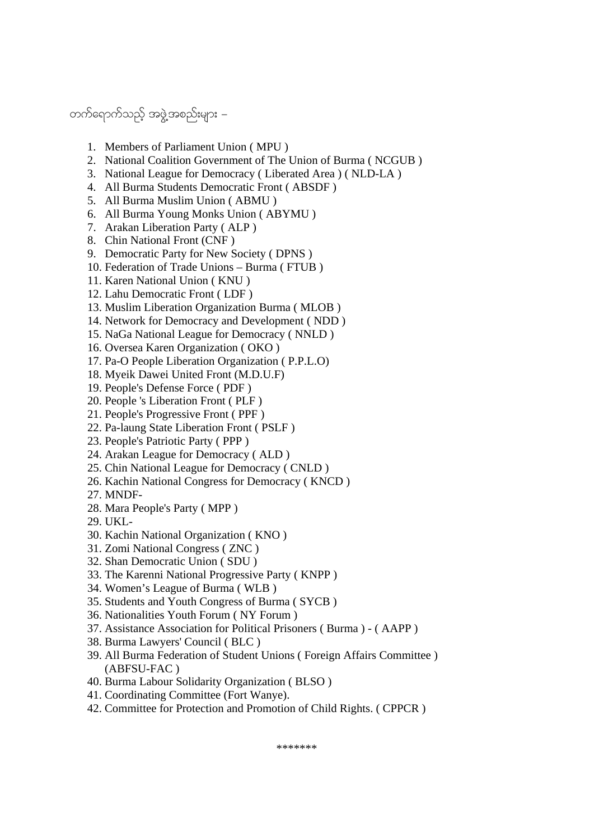### တက်ရောက်သည့် အဖွဲ့အစည်းများ –

- 1. Members of Parliament Union ( MPU )
- 2. National Coalition Government of The Union of Burma ( NCGUB )
- 3. National League for Democracy ( Liberated Area ) ( NLD-LA )
- 4. All Burma Students Democratic Front ( ABSDF )
- 5. All Burma Muslim Union ( ABMU )
- 6. All Burma Young Monks Union ( ABYMU )
- 7. Arakan Liberation Party ( ALP )
- 8. Chin National Front (CNF )
- 9. Democratic Party for New Society ( DPNS )
- 10. Federation of Trade Unions Burma ( FTUB )
- 11. Karen National Union ( KNU )
- 12. Lahu Democratic Front ( LDF )
- 13. Muslim Liberation Organization Burma ( MLOB )
- 14. Network for Democracy and Development ( NDD )
- 15. NaGa National League for Democracy ( NNLD )
- 16. Oversea Karen Organization ( OKO )
- 17. Pa-O People Liberation Organization ( P.P.L.O)
- 18. Myeik Dawei United Front (M.D.U.F)
- 19. People's Defense Force ( PDF )
- 20. People 's Liberation Front ( PLF )
- 21. People's Progressive Front ( PPF )
- 22. Pa-laung State Liberation Front ( PSLF )
- 23. People's Patriotic Party ( PPP )
- 24. Arakan League for Democracy ( ALD )
- 25. Chin National League for Democracy ( CNLD )
- 26. Kachin National Congress for Democracy ( KNCD )
- 27. MNDF-
- 28. Mara People's Party ( MPP )
- 29. UKL-
- 30. Kachin National Organization ( KNO )
- 31. Zomi National Congress ( ZNC )
- 32. Shan Democratic Union ( SDU )
- 33. The Karenni National Progressive Party ( KNPP )
- 34. Women's League of Burma ( WLB )
- 35. Students and Youth Congress of Burma ( SYCB )
- 36. Nationalities Youth Forum ( NY Forum )
- 37. Assistance Association for Political Prisoners ( Burma ) ( AAPP )
- 38. Burma Lawyers' Council ( BLC )
- 39. All Burma Federation of Student Unions ( Foreign Affairs Committee ) (ABFSU-FAC )
- 40. Burma Labour Solidarity Organization ( BLSO )
- 41. Coordinating Committee (Fort Wanye).
- 42. Committee for Protection and Promotion of Child Rights. ( CPPCR )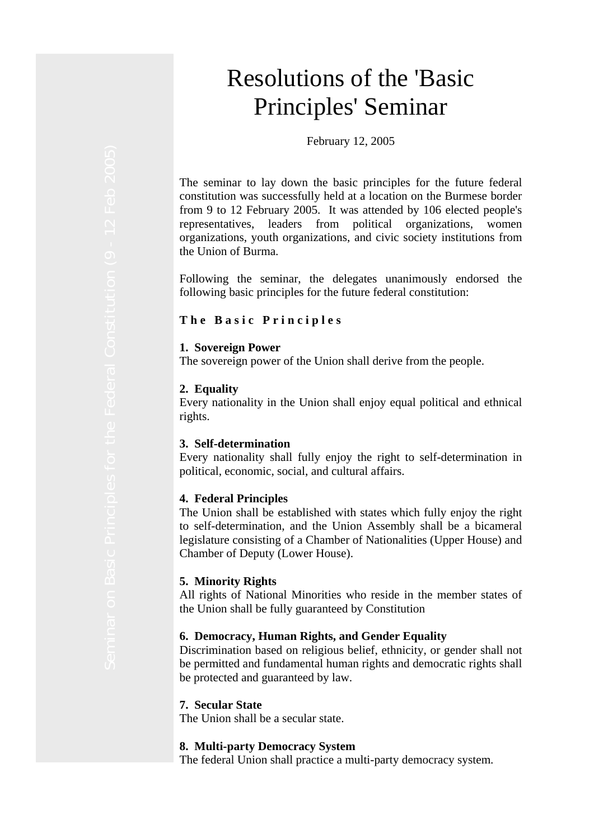# Resolutions of the 'Basic Principles' Seminar

February 12, 2005

The seminar to lay down the basic principles for the future federal constitution was successfully held at a location on the Burmese border from 9 to 12 February 2005. It was attended by 106 elected people's representatives, leaders from political organizations, women organizations, youth organizations, and civic society institutions from the Union of Burma.

Following the seminar, the delegates unanimously endorsed the following basic principles for the future federal constitution:

#### **The Basic Principles**

#### **1. Sovereign Power**

The sovereign power of the Union shall derive from the people.

#### **2. Equality**

Every nationality in the Union shall enjoy equal political and ethnical rights.

#### **3. Self-determination**

Every nationality shall fully enjoy the right to self-determination in political, economic, social, and cultural affairs.

#### **4. Federal Principles**

The Union shall be established with states which fully enjoy the right to self-determination, and the Union Assembly shall be a bicameral legislature consisting of a Chamber of Nationalities (Upper House) and Chamber of Deputy (Lower House).

#### **5. Minority Rights**

All rights of National Minorities who reside in the member states of the Union shall be fully guaranteed by Constitution

#### **6. Democracy, Human Rights, and Gender Equality**

Discrimination based on religious belief, ethnicity, or gender shall not be permitted and fundamental human rights and democratic rights shall be protected and guaranteed by law.

#### **7. Secular State**

The Union shall be a secular state.

#### **8. Multi-party Democracy System**

The federal Union shall practice a multi-party democracy system.